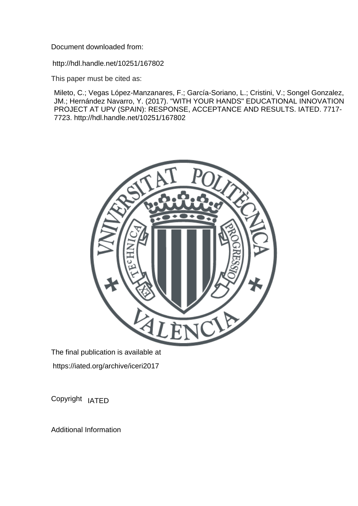Document downloaded from:

http://hdl.handle.net/10251/167802

This paper must be cited as:

Mileto, C.; Vegas López-Manzanares, F.; García-Soriano, L.; Cristini, V.; Songel Gonzalez, JM.; Hernández Navarro, Y. (2017). "WITH YOUR HANDS" EDUCATIONAL INNOVATION PROJECT AT UPV (SPAIN): RESPONSE, ACCEPTANCE AND RESULTS. IATED. 7717- 7723. http://hdl.handle.net/10251/167802



The final publication is available at https://iated.org/archive/iceri2017

Copyright IATED

Additional Information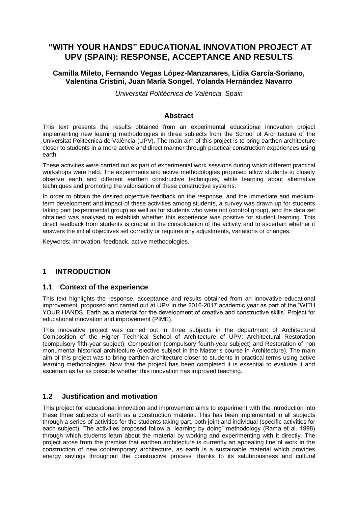# **"WITH YOUR HANDS" EDUCATIONAL INNOVATION PROJECT AT UPV (SPAIN): RESPONSE, ACCEPTANCE AND RESULTS**

### **Camilla Mileto, Fernando Vegas López-Manzanares, Lidia García-Soriano, Valentina Cristini, Juan María Songel, Yolanda Hernández Navarro**

*Universitat Politècnica de València, Spain*

#### **Abstract**

This text presents the results obtained from an experimental educational innovation project implementing new learning methodologies in three subjects from the School of Architecture of the Universitat Politècnica de València (UPV). The main aim of this project is to bring earthen architecture closer to students in a more active and direct manner through practical construction experiences using earth.

These activities were carried out as part of experimental work sessions during which different practical workshops were held. The experiments and active methodologies proposed allow students to closely observe earth and different earthen constructive techniques, while learning about alternative techniques and promoting the valorisation of these constructive systems.

In order to obtain the desired objective feedback on the response, and the immediate and mediumterm development and impact of these activities among students, a survey was drawn up for students taking part (experimental group) as well as for students who were not (control group), and the data set obtained was analysed to establish whether this experience was positive for student learning. This direct feedback from students is crucial in the consolidation of the activity and to ascertain whether it answers the initial objectives set correctly or requires any adjustments, variations or changes.

Keywords: Innovation, feedback, active methodologies.

# **1 INTRODUCTION**

### **1.1 Context of the experience**

This text highlights the response, acceptance and results obtained from an innovative educational improvement, proposed and carried out at UPV in the 2016-2017 academic year as part of the "WITH YOUR HANDS. Earth as a material for the development of creative and constructive skills" Project for educational innovation and improvement (PIME).

This innovative project was carried out in three subjects in the department of Architectural Composition of the Higher Technical School of Architecture of UPV: Architectural Restoration (compulsory fifth-year subject), Composition (compulsory fourth-year subject) and Restoration of non monumental historical architecture (elective subject in the Master's course in Architecture). The main aim of this project was to bring earthen architecture closer to students in practical terms using active learning methodologies. Now that the project has been completed it is essential to evaluate it and ascertain as far as possible whether this innovation has improved teaching.

### **1.2 Justification and motivation**

This project for educational innovation and improvement aims to experiment with the introduction into these three subjects of earth as a construction material. This has been implemented in all subjects through a series of activities for the students taking part, both joint and individual (specific activities for each subject). The activities proposed follow a "learning by doing" methodology (Rama et al. 1998) through which students learn about the material by working and experimenting with it directly. The project arose from the premise that earthen architecture is currently an appealing line of work in the construction of new contemporary architecture, as earth is a sustainable material which provides energy savings throughout the constructive process, thanks to its salubriousness and cultural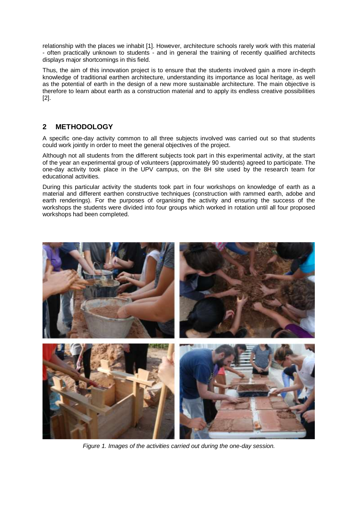relationship with the places we inhabit [1]. However, architecture schools rarely work with this material - often practically unknown to students - and in general the training of recently qualified architects displays major shortcomings in this field.

Thus, the aim of this innovation project is to ensure that the students involved gain a more in-depth knowledge of traditional earthen architecture, understanding its importance as local heritage, as well as the potential of earth in the design of a new more sustainable architecture. The main objective is therefore to learn about earth as a construction material and to apply its endless creative possibilities [2].

# **2 METHODOLOGY**

A specific one-day activity common to all three subjects involved was carried out so that students could work jointly in order to meet the general objectives of the project.

Although not all students from the different subjects took part in this experimental activity, at the start of the year an experimental group of volunteers (approximately 90 students) agreed to participate. The one-day activity took place in the UPV campus, on the 8H site used by the research team for educational activities.

During this particular activity the students took part in four workshops on knowledge of earth as a material and different earthen constructive techniques (construction with rammed earth, adobe and earth renderings). For the purposes of organising the activity and ensuring the success of the workshops the students were divided into four groups which worked in rotation until all four proposed workshops had been completed.



*Figure 1. Images of the activities carried out during the one-day session.*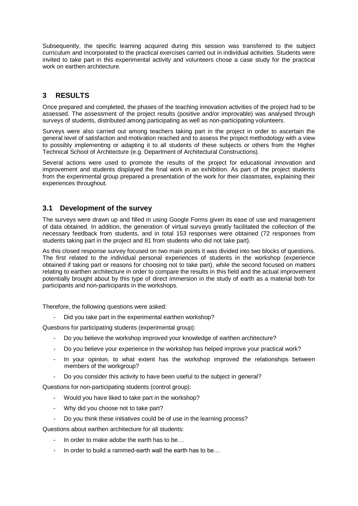Subsequently, the specific learning acquired during this session was transferred to the subject curriculum and incorporated to the practical exercises carried out in individual activities. Students were invited to take part in this experimental activity and volunteers chose a case study for the practical work on earthen architecture.

# **3 RESULTS**

Once prepared and completed, the phases of the teaching innovation activities of the project had to be assessed. The assessment of the project results (positive and/or improvable) was analysed through surveys of students, distributed among participating as well as non-participating volunteers.

Surveys were also carried out among teachers taking part in the project in order to ascertain the general level of satisfaction and motivation reached and to assess the project methodology with a view to possibly implementing or adapting it to all students of these subjects or others from the Higher Technical School of Architecture (e.g. Department of Architectural Constructions).

Several actions were used to promote the results of the project for educational innovation and improvement and students displayed the final work in an exhibition. As part of the project students from the experimental group prepared a presentation of the work for their classmates, explaining their experiences throughout.

### **3.1 Development of the survey**

The surveys were drawn up and filled in using Google Forms given its ease of use and management of data obtained. In addition, the generation of virtual surveys greatly facilitated the collection of the necessary feedback from students, and in total 153 responses were obtained (72 responses from students taking part in the project and 81 from students who did not take part).

As this closed response survey focused on two main points it was divided into two blocks of questions. The first related to the individual personal experiences of students in the workshop (experience obtained if taking part or reasons for choosing not to take part), while the second focused on matters relating to earthen architecture in order to compare the results in this field and the actual improvement potentially brought about by this type of direct immersion in the study of earth as a material both for participants and non-participants in the workshops.

Therefore, the following questions were asked:

Did you take part in the experimental earthen workshop?

Questions for participating students (experimental group):

- Do you believe the workshop improved your knowledge of earthen architecture?
- Do you believe your experience in the workshop has helped improve your practical work?
- In your opinion, to what extent has the workshop improved the relationships between members of the workgroup?
- Do you consider this activity to have been useful to the subject in general?

Questions for non-participating students (control group):

- Would you have liked to take part in the workshop?
- Why did you choose not to take part?
- Do you think these initiatives could be of use in the learning process?

Questions about earthen architecture for all students:

- In order to make adobe the earth has to be…
- In order to build a rammed-earth wall the earth has to be...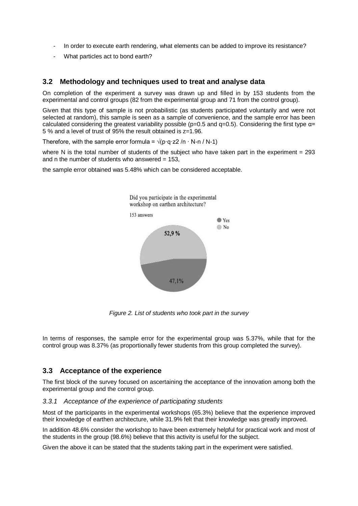- In order to execute earth rendering, what elements can be added to improve its resistance?
- What particles act to bond earth?

### **3.2 Methodology and techniques used to treat and analyse data**

On completion of the experiment a survey was drawn up and filled in by 153 students from the experimental and control groups (82 from the experimental group and 71 from the control group).

Given that this type of sample is not probabilistic (as students participated voluntarily and were not selected at random), this sample is seen as a sample of convenience, and the sample error has been calculated considering the greatest variability possible ( $p=0.5$  and  $q=0.5$ ). Considering the first type  $\alpha$ = 5 % and a level of trust of 95% the result obtained is z=1.96.

Therefore, with the sample error formula =  $\sqrt{(p \cdot q \cdot z^2/n \cdot N \cdot n / N \cdot 1)}$ 

where N is the total number of students of the subject who have taken part in the experiment  $= 293$ and n the number of students who answered  $= 153$ ,

the sample error obtained was 5.48% which can be considered acceptable.



*Figure 2. List of students who took part in the survey*

In terms of responses, the sample error for the experimental group was 5.37%, while that for the control group was 8.37% (as proportionally fewer students from this group completed the survey).

#### **3.3 Acceptance of the experience**

The first block of the survey focused on ascertaining the acceptance of the innovation among both the experimental group and the control group.

#### *3.3.1 Acceptance of the experience of participating students*

Most of the participants in the experimental workshops (65.3%) believe that the experience improved their knowledge of earthen architecture, while 31.9% felt that their knowledge was greatly improved.

In addition 48.6% consider the workshop to have been extremely helpful for practical work and most of the students in the group (98.6%) believe that this activity is useful for the subject.

Given the above it can be stated that the students taking part in the experiment were satisfied.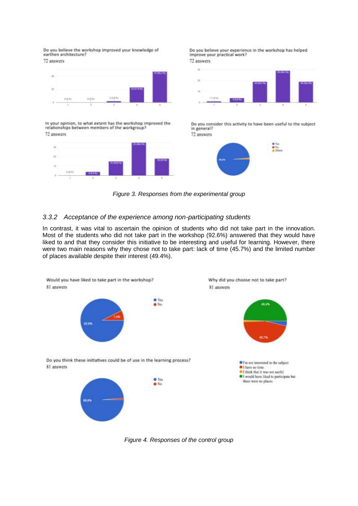Do you believe the workshop improved your knowledge of earthen architecture?

72 answers



In your opinion, to what extent has the workshop improved the relationships between members of the workgroup? 72 answers



Do you believe your experience in the workshop has helped improve your practical work? 72 answers



Do you consider this activity to have been useful to the subject in general? 72 answers



*Figure 3. Responses from the experimental group*

#### *3.3.2 Acceptance of the experience among non-participating students*

In contrast, it was vital to ascertain the opinion of students who did not take part in the innovation. Most of the students who did not take part in the workshop (92.6%) answered that they would have liked to and that they consider this initiative to be interesting and useful for learning. However, there were two main reasons why they chose not to take part: lack of time (45.7%) and the limited number of places available despite their interest (49.4%).



*Figure 4. Responses of the control group*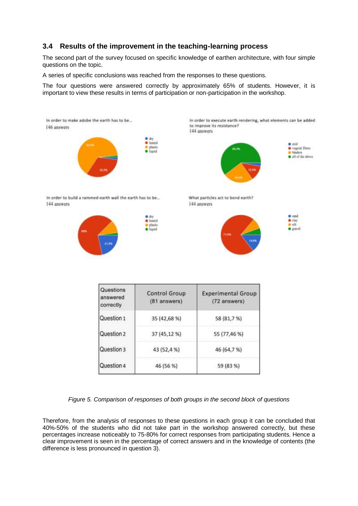# **3.4 Results of the improvement in the teaching-learning process**

The second part of the survey focused on specific knowledge of earthen architecture, with four simple questions on the topic.

A series of specific conclusions was reached from the responses to these questions.

The four questions were answered correctly by approximately 65% of students. However, it is important to view these results in terms of participation or non-participation in the workshop.



*Figure 5. Comparison of responses of both groups in the second block of questions*

Therefore, from the analysis of responses to these questions in each group it can be concluded that 40%-50% of the students who did not take part in the workshop answered correctly, but these percentages increase noticeably to 75-80% for correct responses from participating students. Hence a clear improvement is seen in the percentage of correct answers and in the knowledge of contents (the difference is less pronounced in question 3).